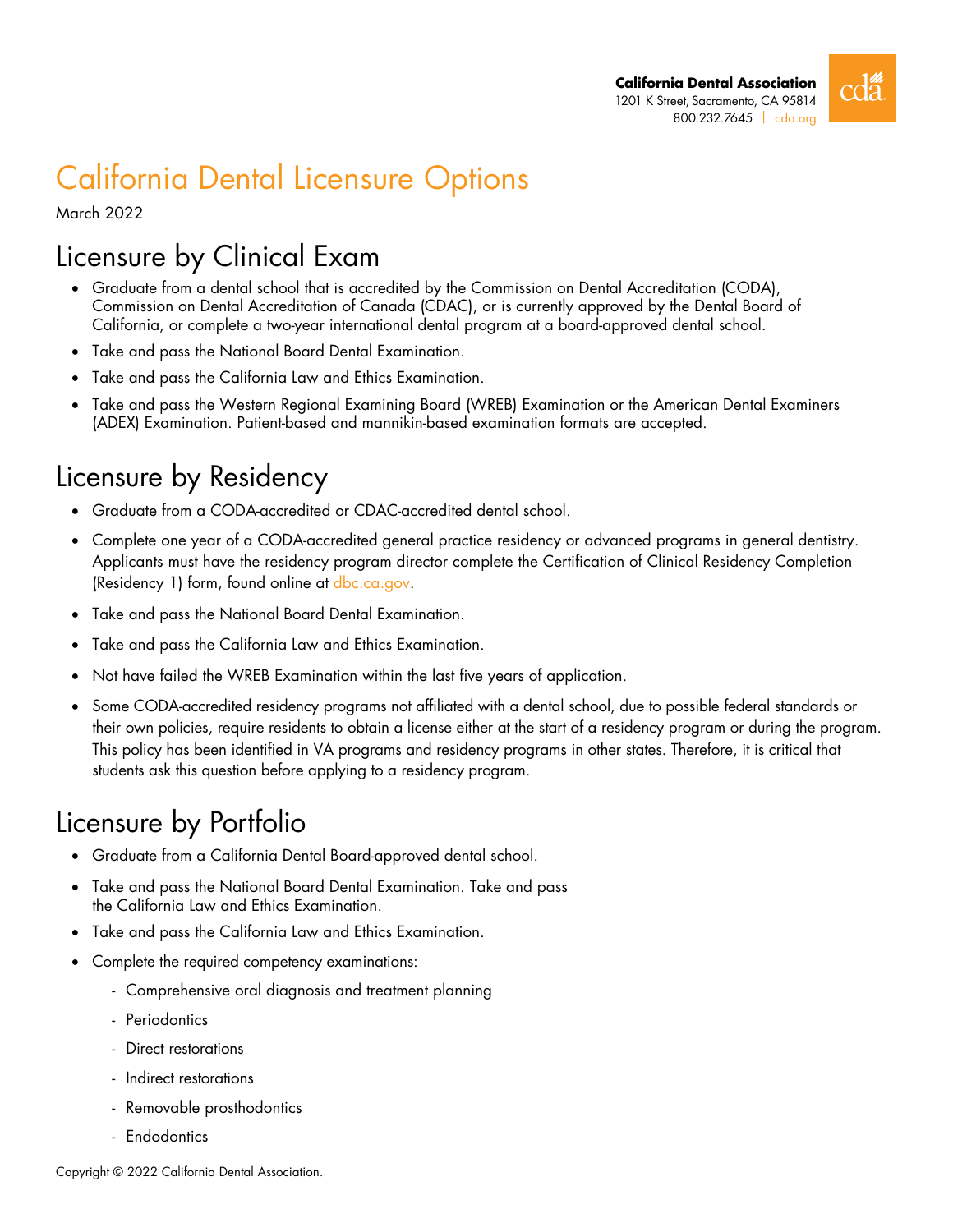

# California Dental Licensure Options

March 2022

## Licensure by Clinical Exam

- Graduate from a dental school that is accredited by the Commission on Dental Accreditation (CODA), Commission on Dental Accreditation of Canada (CDAC), or is currently approved by the Dental Board of California, or complete a two-year international dental program at a board-approved dental school.
- Take and pass the National Board Dental Examination.
- Take and pass the California Law and Ethics Examination.
- Take and pass the Western Regional Examining Board (WREB) Examination or the American Dental Examiners (ADEX) Examination. Patient-based and mannikin-based examination formats are accepted.

### Licensure by Residency

- Graduate from a CODA-accredited or CDAC-accredited dental school.
- Complete one year of a CODA-accredited general practice residency or advanced programs in general dentistry. Applicants must have the residency program director complete the Certification of Clinical Residency Completion (Residency 1) form, found online at dbc.ca.gov.
- Take and pass the National Board Dental Examination.
- Take and pass the California Law and Ethics Examination.
- Not have failed the WREB Examination within the last five years of application.
- Some CODA-accredited residency programs not affiliated with a dental school, due to possible federal standards or their own policies, require residents to obtain a license either at the start of a residency program or during the program. This policy has been identified in VA programs and residency programs in other states. Therefore, it is critical that students ask this question before applying to a residency program.

### Licensure by Portfolio

- Graduate from a California Dental Board-approved dental school.
- Take and pass the National Board Dental Examination. Take and pass the California Law and Ethics Examination.
- Take and pass the California Law and Ethics Examination.
- Complete the required competency examinations:
	- Comprehensive oral diagnosis and treatment planning
	- Periodontics
	- Direct restorations
	- Indirect restorations
	- Removable prosthodontics
	- Endodontics